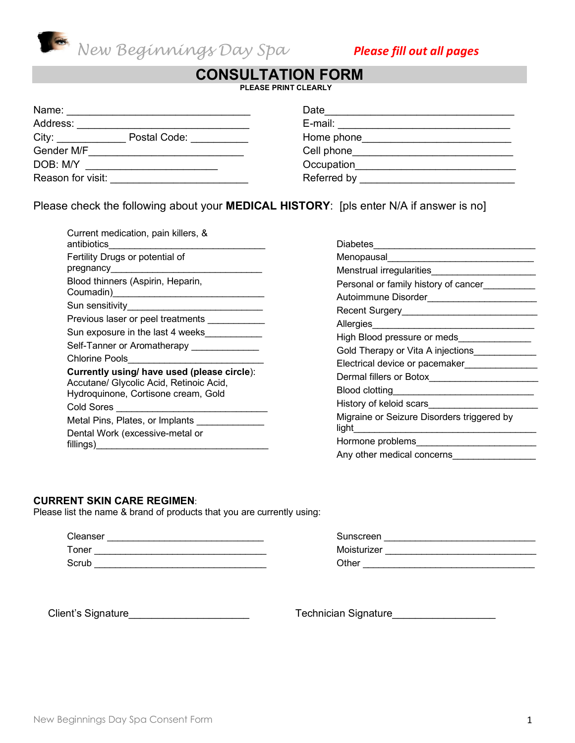

# **CONSULTATION FORM**

**PLEASE PRINT CLEARLY**

| Name:                 | Date                                                                                                           |
|-----------------------|----------------------------------------------------------------------------------------------------------------|
| Address:              | E-mail:                                                                                                        |
| Postal Code:<br>City: | Home phone that the state of the state of the state of the state of the state of the state of the state of the |
| Gender M/F            | Cell phone                                                                                                     |
| DOB: M/Y              | Occupation                                                                                                     |
| Reason for visit:     | Referred by                                                                                                    |

Please check the following about your **MEDICAL HISTORY**: [pls enter N/A if answer is no]

| Current medication, pain killers, &<br>antibiotics                                                                                          |  |
|---------------------------------------------------------------------------------------------------------------------------------------------|--|
| Fertility Drugs or potential of                                                                                                             |  |
| pregnancy                                                                                                                                   |  |
| Blood thinners (Aspirin, Heparin,<br>Coumadin) Couman Couman Couman Couman Couman Couman Counter                                            |  |
| Sun sensitivity                                                                                                                             |  |
| Previous laser or peel treatments                                                                                                           |  |
| Sun exposure in the last 4 weeks                                                                                                            |  |
| Self-Tanner or Aromatherapy                                                                                                                 |  |
| <b>Chlorine Pools</b>                                                                                                                       |  |
| Currently using/ have used (please circle):<br>Accutane/ Glycolic Acid, Retinoic Acid,<br>Hydroquinone, Cortisone cream, Gold<br>Cold Sores |  |
| Metal Pins, Plates, or Implants                                                                                                             |  |
| Dental Work (excessive-metal or<br>fillings)                                                                                                |  |

| Diabetes                                                                                                                                                                                                                                          |
|---------------------------------------------------------------------------------------------------------------------------------------------------------------------------------------------------------------------------------------------------|
| Menopausal                                                                                                                                                                                                                                        |
| Menstrual irregularities                                                                                                                                                                                                                          |
| Personal or family history of cancer                                                                                                                                                                                                              |
| Autoimmune Disorder<br>the control of the control of the                                                                                                                                                                                          |
| Recent Surgery Management Control of The Recent Surgery                                                                                                                                                                                           |
| Allergies<br><u> The Communication of the Communication of the Communication of the Communication of the Communication of the Communication of the Communication of the Communication of the Communication of the Communication of the Commun</u> |
| High Blood pressure or meds                                                                                                                                                                                                                       |
| Gold Therapy or Vita A injections                                                                                                                                                                                                                 |
| Electrical device or pacemaker                                                                                                                                                                                                                    |
| Dermal fillers or Botox                                                                                                                                                                                                                           |
| Blood clotting                                                                                                                                                                                                                                    |
| History of keloid scars                                                                                                                                                                                                                           |
| Migraine or Seizure Disorders triggered by<br>light                                                                                                                                                                                               |
| Hormone problems                                                                                                                                                                                                                                  |
| Any other medical concerns                                                                                                                                                                                                                        |

#### **CURRENT SKIN CARE REGIMEN**:

Please list the name & brand of products that you are currently using:

| Cleanser |  |
|----------|--|
| Toner    |  |
| Scrub    |  |

| Sunscreen   |  |
|-------------|--|
| Moisturizer |  |
| Other       |  |

Client's Signature et al. et al. et al. et al. et al. et al. et al. et al. et al. et al. et al. et al. et al. e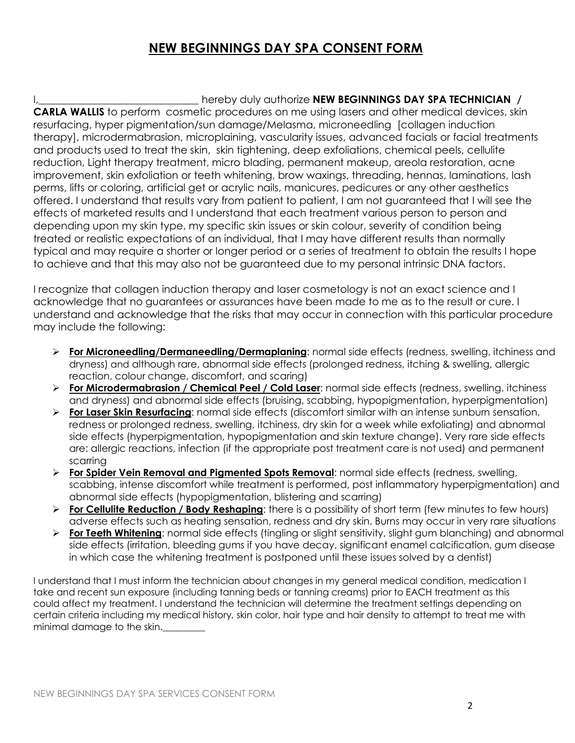# **NEW BEGINNINGS DAY SPA CONSENT FORM**

#### I,\_\_\_\_\_\_\_\_\_\_\_\_\_\_\_\_\_\_\_\_\_\_\_\_\_\_\_\_\_\_\_ hereby duly authorize **NEW BEGINNINGS DAY SPA TECHNICIAN /**

**CARLA WALLIS** to perform cosmetic procedures on me using lasers and other medical devices, skin resurfacing, hyper pigmentation/sun damage/Melasma, microneedling [collagen induction therapy], microdermabrasion, microplaining, vascularity issues, advanced facials or facial treatments and products used to treat the skin, skin tightening, deep exfoliations, chemical peels, cellulite reduction, Light therapy treatment, micro blading, permanent makeup, areola restoration, acne improvement, skin exfoliation or teeth whitening, brow waxings, threading, hennas, laminations, lash perms, lifts or coloring, artificial get or acrylic nails, manicures, pedicures or any other aesthetics offered. I understand that results vary from patient to patient, I am not guaranteed that I will see the effects of marketed results and I understand that each treatment various person to person and depending upon my skin type, my specific skin issues or skin colour, severity of condition being treated or realistic expectations of an individual, that I may have different results than normally typical and may require a shorter or longer period or a series of treatment to obtain the results I hope to achieve and that this may also not be guaranteed due to my personal intrinsic DNA factors.

I recognize that collagen induction therapy and laser cosmetology is not an exact science and I acknowledge that no guarantees or assurances have been made to me as to the result or cure. I understand and acknowledge that the risks that may occur in connection with this particular procedure may include the following:

- Ø **For Microneedling/Dermaneedling/Dermaplaning**: normal side effects (redness, swelling, itchiness and dryness) and although rare, abnormal side effects (prolonged redness, itching & swelling, allergic reaction, colour change, discomfort, and scaring)
- Ø **For Microdermabrasion / Chemical Peel / Cold Laser**: normal side effects (redness, swelling, itchiness and dryness) and abnormal side effects (bruising, scabbing, hypopigmentation, hyperpigmentation)
- Ø **For Laser Skin Resurfacing**: normal side effects (discomfort similar with an intense sunburn sensation, redness or prolonged redness, swelling, itchiness, dry skin for a week while exfoliating) and abnormal side effects (hyperpigmentation, hypopigmentation and skin texture change). Very rare side effects are: allergic reactions, infection (if the appropriate post treatment care is not used) and permanent scarring
- Ø **For Spider Vein Removal and Pigmented Spots Removal**: normal side effects (redness, swelling, scabbing, intense discomfort while treatment is performed, post inflammatory hyperpigmentation) and abnormal side effects (hypopigmentation, blistering and scarring)
- Ø **For Cellulite Reduction / Body Reshaping**: there is a possibility of short term (few minutes to few hours) adverse effects such as heating sensation, redness and dry skin. Burns may occur in very rare situations
- Ø **For Teeth Whitening**: normal side effects (tingling or slight sensitivity, slight gum blanching) and abnormal side effects (irritation, bleeding gums if you have decay, significant enamel calcification, gum disease in which case the whitening treatment is postponed until these issues solved by a dentist)

I understand that I must inform the technician about changes in my general medical condition, medication I take and recent sun exposure (including tanning beds or tanning creams) prior to EACH treatment as this could affect my treatment. I understand the technician will determine the treatment settings depending on certain criteria including my medical history, skin color, hair type and hair density to attempt to treat me with minimal damage to the skin.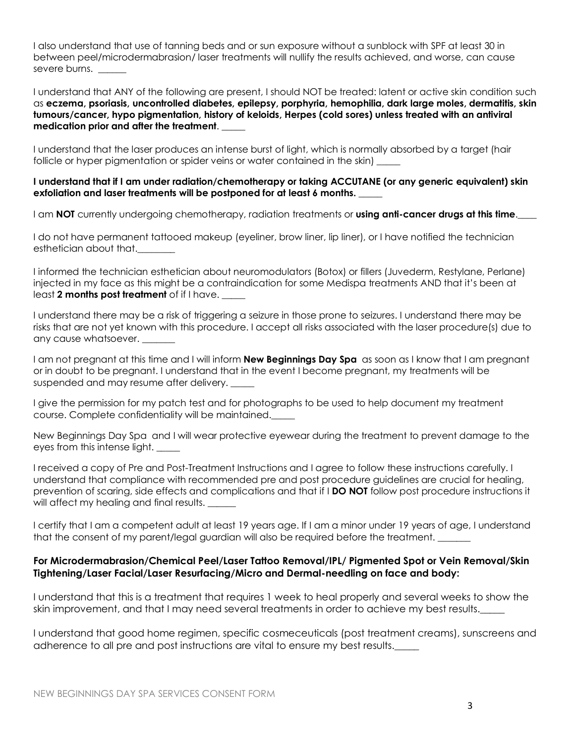I also understand that use of tanning beds and or sun exposure without a sunblock with SPF at least 30 in between peel/microdermabrasion/ laser treatments will nullify the results achieved, and worse, can cause severe burns.

I understand that ANY of the following are present, I should NOT be treated: latent or active skin condition such as **eczema, psoriasis, uncontrolled diabetes, epilepsy, porphyria, hemophilia, dark large moles, dermatitis, skin tumours/cancer, hypo pigmentation, history of keloids, Herpes (cold sores) unless treated with an antiviral medication prior and after the treatment**. \_\_\_\_\_

I understand that the laser produces an intense burst of light, which is normally absorbed by a target (hair follicle or hyper pigmentation or spider veins or water contained in the skin)

#### **I understand that if I am under radiation/chemotherapy or taking ACCUTANE (or any generic equivalent) skin**  exfoliation and laser treatments will be postponed for at least 6 months.

I am **NOT** currently undergoing chemotherapy, radiation treatments or **using anti-cancer drugs at this time**.

I do not have permanent tattooed makeup (eyeliner, brow liner, lip liner), or I have notified the technician esthetician about that.

I informed the technician esthetician about neuromodulators (Botox) or fillers (Juvederm, Restylane, Perlane) injected in my face as this might be a contraindication for some Medispa treatments AND that it's been at least 2 months post treatment of if I have.

I understand there may be a risk of triggering a seizure in those prone to seizures. I understand there may be risks that are not yet known with this procedure. I accept all risks associated with the laser procedure(s) due to any cause whatsoever.

I am not pregnant at this time and I will inform **New Beginnings Day Spa** as soon as I know that I am pregnant or in doubt to be pregnant. I understand that in the event I become pregnant, my treatments will be suspended and may resume after delivery.

I give the permission for my patch test and for photographs to be used to help document my treatment course. Complete confidentiality will be maintained.\_\_\_\_\_

New Beginnings Day Spa and I will wear protective eyewear during the treatment to prevent damage to the eyes from this intense light.

I received a copy of Pre and Post-Treatment Instructions and I agree to follow these instructions carefully. I understand that compliance with recommended pre and post procedure guidelines are crucial for healing, prevention of scaring, side effects and complications and that if I **DO NOT** follow post procedure instructions it will affect my healing and final results.

I certify that I am a competent adult at least 19 years age. If I am a minor under 19 years of age, I understand that the consent of my parent/legal guardian will also be required before the treatment.

#### **For Microdermabrasion/Chemical Peel/Laser Tattoo Removal/IPL/ Pigmented Spot or Vein Removal/Skin Tightening/Laser Facial/Laser Resurfacing/Micro and Dermal-needling on face and body:**

I understand that this is a treatment that requires 1 week to heal properly and several weeks to show the skin improvement, and that I may need several treatments in order to achieve my best results.\_\_\_\_\_

I understand that good home regimen, specific cosmeceuticals (post treatment creams), sunscreens and adherence to all pre and post instructions are vital to ensure my best results.\_\_\_\_\_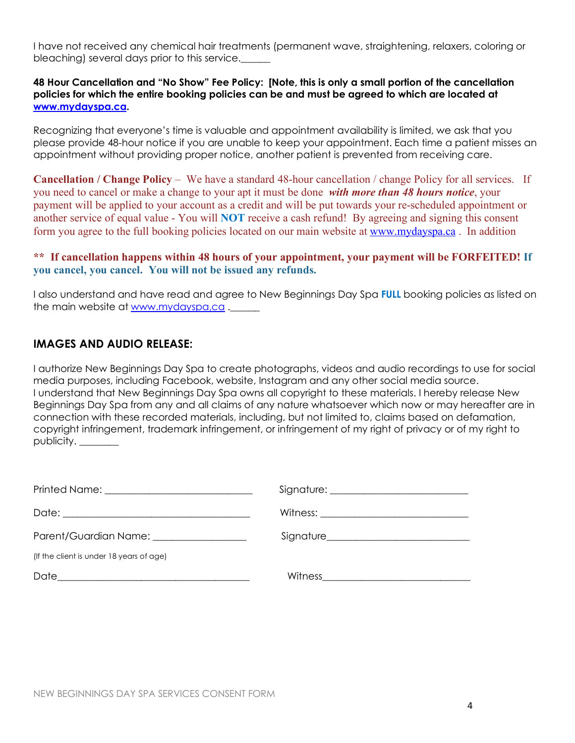I have not received any chemical hair treatments (permanent wave, straightening, relaxers, coloring or bleaching) several days prior to this service.\_\_\_\_\_\_

#### **48 Hour Cancellation and "No Show" Fee Policy: [Note, this is only a small portion of the cancellation policies for which the entire booking policies can be and must be agreed to which are located at www.mydayspa.ca.**

Recognizing that everyone's time is valuable and appointment availability is limited, we ask that you please provide 48-hour notice if you are unable to keep your appointment. Each time a patient misses an appointment without providing proper notice, another patient is prevented from receiving care.

**Cancellation / Change Policy** – We have a standard 48-hour cancellation / change Policy for all services. If you need to cancel or make a change to your apt it must be done *with more than 48 hours notice*, your payment will be applied to your account as a credit and will be put towards your re-scheduled appointment or another service of equal value - You will **NOT** receive a cash refund! By agreeing and signing this consent form you agree to the full booking policies located on our main website at www.mydayspa.ca . In addition

#### **\*\* If cancellation happens within 48 hours of your appointment, your payment will be FORFEITED! If you cancel, you cancel. You will not be issued any refunds.**

I also understand and have read and agree to New Beginnings Day Spa **FULL** booking policies as listed on the main website at www.mydayspa,ca.

### **IMAGES AND AUDIO RELEASE:**

I authorize New Beginnings Day Spa to create photographs, videos and audio recordings to use for social media purposes, including Facebook, website, Instagram and any other social media source. I understand that New Beginnings Day Spa owns all copyright to these materials. I hereby release New Beginnings Day Spa from any and all claims of any nature whatsoever which now or may hereafter are in connection with these recorded materials, including, but not limited to, claims based on defamation, copyright infringement, trademark infringement, or infringement of my right of privacy or of my right to publicity. \_\_\_\_\_\_\_\_

| Parent/Guardian Name: _________________  |  |
|------------------------------------------|--|
| (If the client is under 18 years of age) |  |
|                                          |  |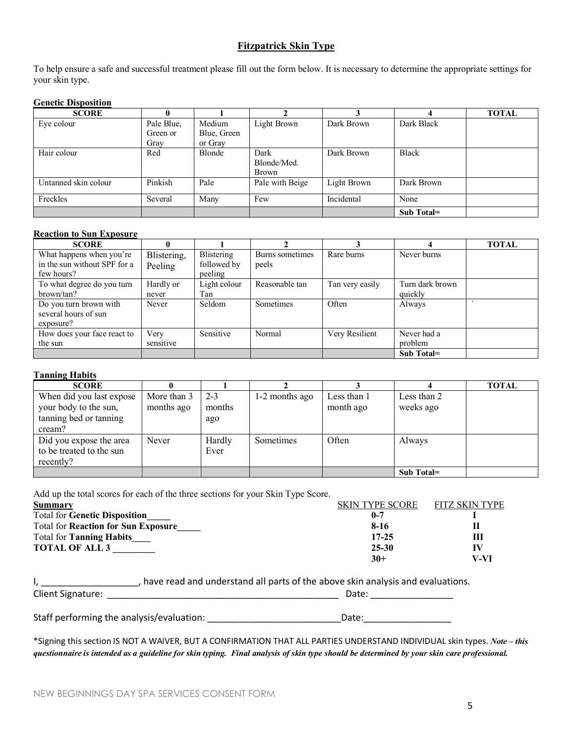#### **Fitzpatrick Skin Type**

To help ensure a safe and successful treatment please fill out the form below. It is necessary to determine the appropriate settings for your skin type.

#### **Genetic Disposition**

| <b>SCORE</b>         |            |             |                 |             |              | <b>TOTAL</b> |
|----------------------|------------|-------------|-----------------|-------------|--------------|--------------|
| Eye colour           | Pale Blue, | Medium      | Light Brown     | Dark Brown  | Dark Black   |              |
|                      | Green or   | Blue, Green |                 |             |              |              |
|                      | Gray       | or Gray     |                 |             |              |              |
| Hair colour          | Red        | Blonde      | Dark            | Dark Brown  | <b>Black</b> |              |
|                      |            |             | Blonde/Med.     |             |              |              |
|                      |            |             | Brown           |             |              |              |
| Untanned skin colour | Pinkish    | Pale        | Pale with Beige | Light Brown | Dark Brown   |              |
|                      |            |             |                 |             |              |              |
| Freckles             | Several    | Many        | Few             | Incidental  | None         |              |
|                      |            |             |                 |             | Sub Total=   |              |

#### **Reaction to Sun Exposure**

| <b>SCORE</b>                 |             |              |                 |                 |                 | <b>TOTAL</b> |
|------------------------------|-------------|--------------|-----------------|-----------------|-----------------|--------------|
| What happens when you're     | Blistering, | Blistering   | Burns sometimes | Rare burns      | Never burns     |              |
| in the sun without SPF for a | Peeling     | followed by  | peels           |                 |                 |              |
| few hours?                   |             | peeling      |                 |                 |                 |              |
| To what degree do you turn   | Hardly or   | Light colour | Reasonable tan  | Tan very easily | Turn dark brown |              |
| brown/tan?                   | never       | Tan          |                 |                 | quickly         |              |
| Do you turn brown with       | Never       | Seldom       | Sometimes       | Often           | Always          |              |
| several hours of sun         |             |              |                 |                 |                 |              |
| exposure?                    |             |              |                 |                 |                 |              |
| How does your face react to  | Very        | Sensitive    | Normal          | Very Resilient  | Never had a     |              |
| the sun                      | sensitive   |              |                 |                 | problem         |              |
|                              |             |              |                 |                 | Sub Total=      |              |

#### **Tanning Habits**

| <b>SCORE</b>             |             |         |                |             |             | <b>TOTAL</b> |
|--------------------------|-------------|---------|----------------|-------------|-------------|--------------|
| When did you last expose | More than 3 | $2 - 3$ | 1-2 months ago | Less than 1 | Less than 2 |              |
| your body to the sun,    | months ago  | months  |                | month ago   | weeks ago   |              |
| tanning bed or tanning   |             | ago     |                |             |             |              |
| cream?                   |             |         |                |             |             |              |
| Did you expose the area  | Never       | Hardly  | Sometimes      | Often       | Always      |              |
| to be treated to the sun |             | Ever    |                |             |             |              |
| recently?                |             |         |                |             |             |              |
|                          |             |         |                |             | Sub Total=  |              |

Add up the total scores for each of the three sections for your Skin Type Score.

| Summary                                    | <b>SKIN TYPE SCORE</b> | FITZ SKIN TYPE |
|--------------------------------------------|------------------------|----------------|
| <b>Total for Genetic Disposition</b>       | $0 - 7$                |                |
| <b>Total for Reaction for Sun Exposure</b> | 8-16                   |                |
| <b>Total for Tanning Habits</b>            | $17 - 25$              |                |
| <b>TOTAL OF ALL 3</b>                      | $25 - 30$              | π              |
|                                            | $30+$                  | V-VI           |

|                          | , have read and understand all parts of the above skin analysis and evaluations. |
|--------------------------|----------------------------------------------------------------------------------|
| <b>Client Signature:</b> | Date:                                                                            |

Staff performing the analysis/evaluation: \_\_\_\_\_\_\_\_\_\_\_\_\_\_\_\_\_\_\_\_\_\_\_\_\_\_\_\_\_\_\_\_Date: \_\_\_\_\_\_\_\_\_\_\_\_\_\_\_\_\_\_\_\_

\*Signing this section IS NOT A WAIVER, BUT A CONFIRMATION THAT ALL PARTIES UNDERSTAND INDIVIDUAL skin types. *Note – this questionnaire is intended as a guideline for skin typing. Final analysis of skin type should be determined by your skin care professional.*